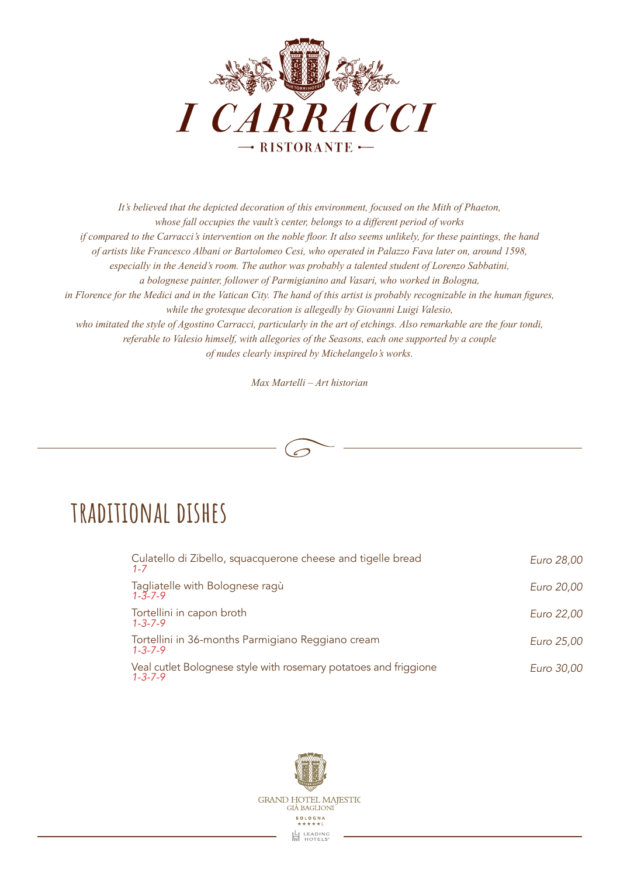

*It's believed that the depicted decoration of this environment, focused on the Mith of Phaeton, whose fall occupies the vault's center, belongs to a different period of works if compared to the Carracci's intervention on the noble floor. It also seems unlikely, for these paintings, the hand of artists like Francesco Albani or Bartolomeo Cesi, who operated in Palazzo Fava later on, around 1598, especially in the Aeneid's room. The author was probably a talented student of Lorenzo Sabbatini, a bolognese painter, follower of Parmigianino and Vasari, who worked in Bologna, in Florence for the Medici and in the Vatican City. The hand of this artist is probably recognizable in the human figures, while the grotesque decoration is allegedly by Giovanni Luigi Valesio, who imitated the style of Agostino Carracci, particularly in the art of etchings. Also remarkable are the four tondi, referable to Valesio himself, with allegories of the Seasons, each one supported by a couple of nudes clearly inspired by Michelangelo's works.* 

*Max Martelli – Art historian*



#### **traditional dishes**

| Culatello di Zibello, squacquerone cheese and tigelle bread<br>$1 - 7$              | Euro 28,00 |
|-------------------------------------------------------------------------------------|------------|
| Tagliatelle with Bolognese ragù<br>$1 - 3 - 7 - 9$                                  | Euro 20,00 |
| Tortellini in capon broth<br>$1 - 3 - 7 - 9$                                        | Euro 22,00 |
| Tortellini in 36-months Parmigiano Reggiano cream<br>$1 - 3 - 7 - 9$                | Euro 25,00 |
| Veal cutlet Bolognese style with rosemary potatoes and friggione<br>$1 - 3 - 7 - 9$ | Euro 30,00 |

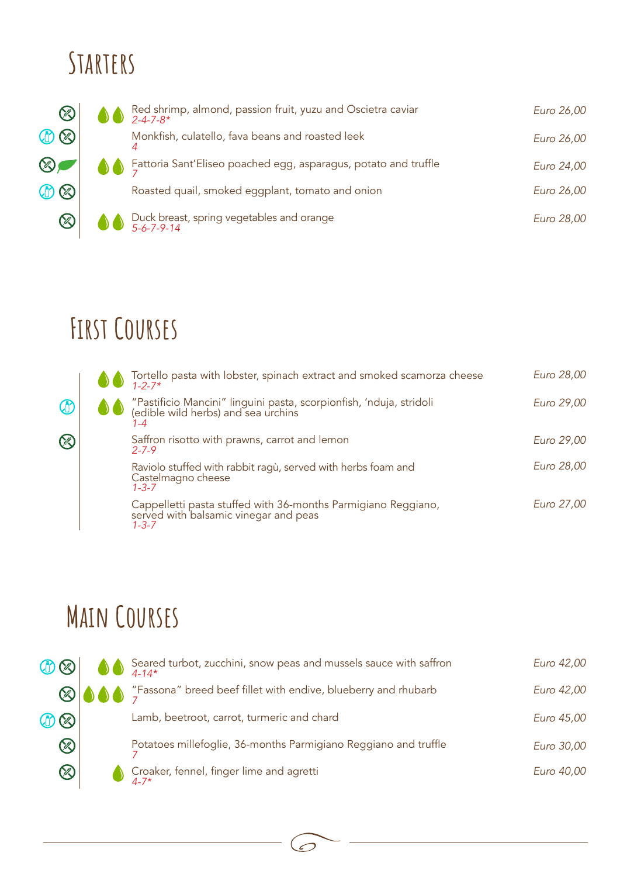## **Starters**



## **First Courses**

(R

Œ



#### **Main Courses**



 $\mathcal{O}$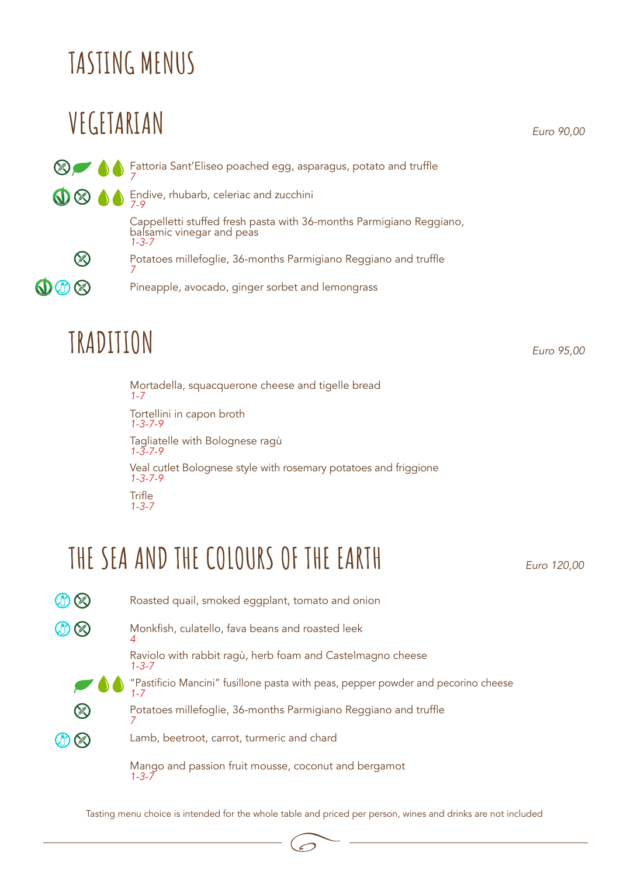# **TASTING MENUS**

## **VEGETARIAN**

*Euro 90,00*

**Example 20 A** Eattoria Sant'Eliseo poached egg, asparagus, potato and truffle Endive, rhubarb, celeriac and zucchini *7-9* Cappelletti stuffed fresh pasta with 36-months Parmigiano Reggiano, balsamic vinegar and peas *1-3-7* C Potatoes millefoglie, 36-months Parmigiano Reggiano and truffle *7*  $\mathbf{0} \oplus \otimes$ Pineapple, avocado, ginger sorbet and lemongrass

## **TRADITION** *Euro 95,00*

Mortadella, squacquerone cheese and tigelle bread *1-7* Tortellini in capon broth *1-3-7-9* Tagliatelle with Bolognese ragù *1-3-7-9* Veal cutlet Bolognese style with rosemary potatoes and friggione *1-3-7-9*  **Trifle** *1-3-7*

#### **THE SEA AND THE COLOURS OF THE EARTH**

*Euro 120,00*



Tasting menu choice is intended for the whole table and priced per person, wines and drinks are not included

Ĉ